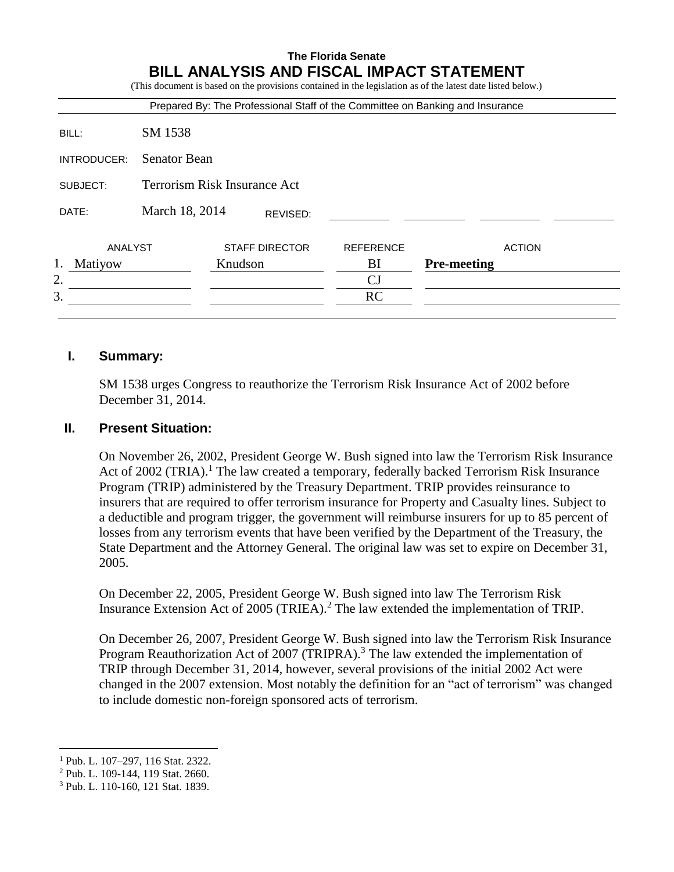|               |                                     |         |                       | <b>BILL ANALYSIS AND FISCAL IMPACT STATEMENT</b><br>(This document is based on the provisions contained in the legislation as of the latest date listed below.)<br>Prepared By: The Professional Staff of the Committee on Banking and Insurance |                    |               |
|---------------|-------------------------------------|---------|-----------------------|--------------------------------------------------------------------------------------------------------------------------------------------------------------------------------------------------------------------------------------------------|--------------------|---------------|
| BILL:         | SM 1538                             |         |                       |                                                                                                                                                                                                                                                  |                    |               |
| INTRODUCER:   | <b>Senator Bean</b>                 |         |                       |                                                                                                                                                                                                                                                  |                    |               |
| SUBJECT:      | <b>Terrorism Risk Insurance Act</b> |         |                       |                                                                                                                                                                                                                                                  |                    |               |
| DATE:         | March 18, 2014<br>REVISED:          |         |                       |                                                                                                                                                                                                                                                  |                    |               |
| ANALYST       |                                     |         | <b>STAFF DIRECTOR</b> | <b>REFERENCE</b>                                                                                                                                                                                                                                 |                    | <b>ACTION</b> |
| 1.<br>Matiyow |                                     | Knudson |                       | BI                                                                                                                                                                                                                                               | <b>Pre-meeting</b> |               |
| 2.            |                                     |         |                       | CJ                                                                                                                                                                                                                                               |                    |               |
| 3.            |                                     |         |                       | <b>RC</b>                                                                                                                                                                                                                                        |                    |               |

# **I. Summary:**

SM 1538 urges Congress to reauthorize the Terrorism Risk Insurance Act of 2002 before December 31, 2014.

#### **II. Present Situation:**

On November 26, 2002, President George W. Bush signed into law the Terrorism Risk Insurance Act of 2002 (TRIA).<sup>1</sup> The law created a temporary, federally backed Terrorism Risk Insurance Program (TRIP) administered by the Treasury Department. TRIP provides reinsurance to insurers that are required to offer terrorism insurance for Property and Casualty lines. Subject to a deductible and program trigger, the government will reimburse insurers for up to 85 percent of losses from any terrorism events that have been verified by the Department of the Treasury, the State Department and the Attorney General. The original law was set to expire on December 31, 2005.

On December 22, 2005, President George W. Bush signed into law The Terrorism Risk Insurance Extension Act of 2005 (TRIEA).<sup>2</sup> The law extended the implementation of TRIP.

On December 26, 2007, President George W. Bush signed into law the Terrorism Risk Insurance Program Reauthorization Act of 2007 (TRIPRA).<sup>3</sup> The law extended the implementation of TRIP through December 31, 2014, however, several provisions of the initial 2002 Act were changed in the 2007 extension. Most notably the definition for an "act of terrorism" was changed to include domestic non-foreign sponsored acts of terrorism.

 $\overline{a}$ 

<sup>1</sup> Pub. L. 107–297, 116 Stat. 2322.

<sup>2</sup> Pub. L. 109-144, 119 Stat. 2660.

<sup>3</sup> Pub. L. 110-160, 121 Stat. 1839.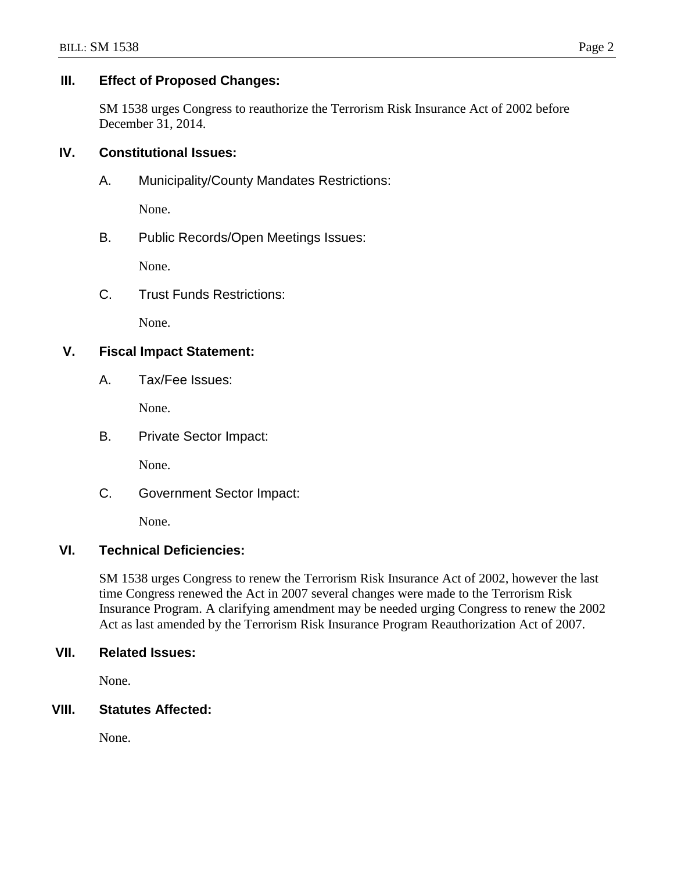# **III. Effect of Proposed Changes:**

SM 1538 urges Congress to reauthorize the Terrorism Risk Insurance Act of 2002 before December 31, 2014.

# **IV. Constitutional Issues:**

A. Municipality/County Mandates Restrictions:

None.

B. Public Records/Open Meetings Issues:

None.

C. Trust Funds Restrictions:

None.

# **V. Fiscal Impact Statement:**

A. Tax/Fee Issues:

None.

B. Private Sector Impact:

None.

C. Government Sector Impact:

None.

#### **VI. Technical Deficiencies:**

SM 1538 urges Congress to renew the Terrorism Risk Insurance Act of 2002, however the last time Congress renewed the Act in 2007 several changes were made to the Terrorism Risk Insurance Program. A clarifying amendment may be needed urging Congress to renew the 2002 Act as last amended by the Terrorism Risk Insurance Program Reauthorization Act of 2007.

#### **VII. Related Issues:**

None.

## **VIII. Statutes Affected:**

None.